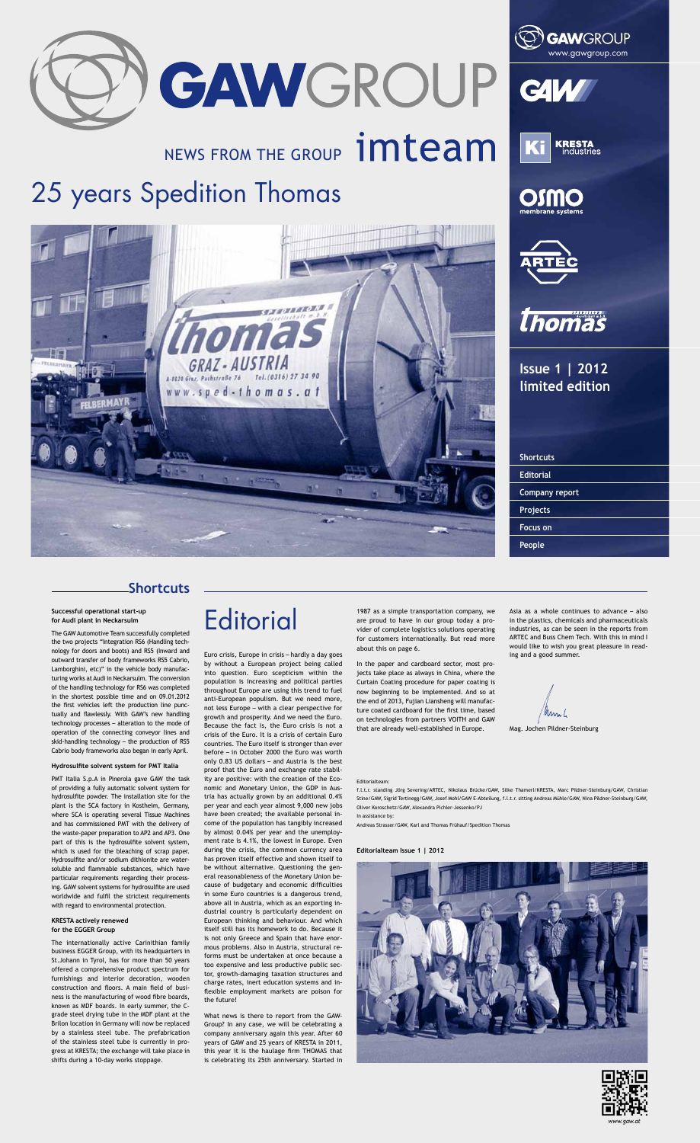GAWGROUP

# NEWS FROM THE GROUP **imteam**











**Issue 1 | 2012 limited edition**

| <b>Shortcuts</b>      |  |
|-----------------------|--|
| <b>Editorial</b>      |  |
| <b>Company report</b> |  |
| Projects              |  |
| <b>Focus on</b>       |  |
| People                |  |

### **Shortcuts**

#### **Editorialteam Issue 1 | 2012**





Euro crisis, Europe in crisis – hardly a day goes by without a European project being called into question. Euro scepticism within the population is increasing and political parties throughout Europe are using this trend to fuel anti-European populism. But we need more, not less Europe – with a clear perspective for growth and prosperity. And we need the Euro. Because the fact is, the Euro crisis is not a crisis of the Euro. It is a crisis of certain Euro countries. The Euro itself is stronger than ever before – in October 2000 the Euro was worth only 0.83 US dollars – and Austria is the best proof that the Euro and exchange rate stability are positive: with the creation of the Economic and Monetary Union, the GDP in Austria has actually grown by an additional 0.4% per year and each year almost 9,000 new jobs have been created; the available personal income of the population has tangibly increased by almost 0.04% per year and the unemployment rate is 4.1%, the lowest in Europe. Even during the crisis, the common currency area has proven itself effective and shown itself to be without alternative. Questioning the general reasonableness of the Monetary Union because of budgetary and economic difficulties in some Euro countries is a dangerous trend, above all in Austria, which as an exporting industrial country is particularly dependent on European thinking and behaviour. And which itself still has its homework to do. Because it is not only Greece and Spain that have enormous problems. Also in Austria, structural reforms must be undertaken at once because a too expensive and less productive public sector, growth-damaging taxation structures and charge rates, inert education systems and inflexible employment markets are poison for the future!

What news is there to report from the GAW-Group? In any case, we will be celebrating a company anniversary again this year. After 60 years of GAW and 25 years of KRESTA in 2011, this year it is the haulage firm THOMAS that is celebrating its 25th anniversary. Started in

**Successful operational start-up for Audi plant in Neckarsulm**

The GAW Automotive Team successfully completed the two projects "Integration RS6 (Handling technology for doors and boots) and RS5 (Inward and outward transfer of body frameworks RS5 Cabrio, Lamborghini, etc)" in the vehicle body manufacturing works at Audi in Neckarsulm. The conversion of the handling technology for RS6 was completed in the shortest possible time and on 09.01.2012 the first vehicles left the production line punctually and flawlessly. With GAW's new handling technology processes – alteration to the mode of operation of the connecting conveyor lines and skid-handling technology – the production of RS5 Cabrio body frameworks also began in early April.

**Editorial** 

#### **Hydrosulfite solvent system for PMT Italia**

PMT Italia S.p.A in Pinerola gave GAW the task of providing a fully automatic solvent system for hydrosulfite powder. The installation site for the plant is the SCA factory in Kostheim, Germany, where SCA is operating several Tissue Machines and has commissioned PMT with the delivery of the waste-paper preparation to AP2 and AP3. One part of this is the hydrosulfite solvent system, which is used for the bleaching of scrap paper. Hydrosulfite and/or sodium dithionite are watersoluble and flammable substances, which have particular requirements regarding their processing. GAW solvent systems for hydrosulfite are used worldwide and fulfil the strictest requirements with regard to environmental protection.

#### **KRESTA actively renewed for the EGGER Group**

The internationally active Carinithian family business EGGER Group, with its headquarters in St.Johann in Tyrol, has for more than 50 years offered a comprehensive product spectrum for furnishings and interior decoration, wooden construction and floors. A main field of business is the manufacturing of wood fibre boards, known as MDF boards. In early summer, the Cgrade steel drying tube in the MDF plant at the Brilon location in Germany will now be replaced by a stainless steel tube. The prefabrication of the stainless steel tube is currently in progress at KRESTA; the exchange will take place in shifts during a 10-day works stoppage.

#### Editorialteam:

f.l.t.r. standing Jörg Severing/ARTEC, Nikolaus Brücke/GAW, Silke Thamerl/KRESTA, Marc Pildner-Steinburg/GAW, Christian Stine/GAW, Sigrid Tertinegg/GAW, Josef Mohl/GAW E-Abteilung, f.l.t.r. sitting Andreas Mühle/GAW, Nina Pildner-Steinburg/GAW, Oliver Koroschetz/GAW, Alexandra Pichler-Jessenko/PJ

#### In assistance by:

Andreas Strasser/GAW, Karl and Thomas Frühauf/Spedition Thomas

Mag. Jochen Pildner-Steinburg

## 25 years Spedition Thomas



1987 as a simple transportation company, we are proud to have in our group today a provider of complete logistics solutions operating for customers internationally. But read more about this on page 6.

In the paper and cardboard sector, most projects take place as always in China, where the Curtain Coating procedure for paper coating is now beginning to be implemented. And so at the end of 2013, Fujian Liansheng will manufacture coated cardboard for the first time, based on technologies from partners VOITH and GAW that are already well-established in Europe.

Asia as a whole continues to advance – also in the plastics, chemicals and pharmaceuticals industries, as can be seen in the reports from ARTEC and Buss Chem Tech. With this in mind I would like to wish you great pleasure in read-

#### ing and a good summer.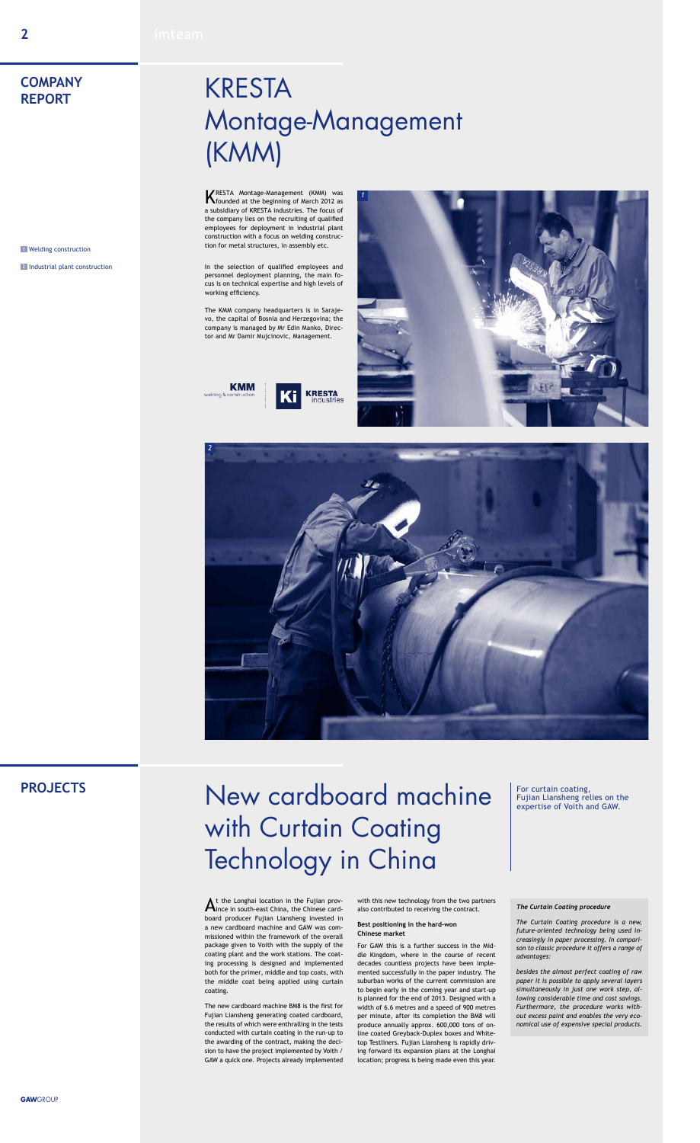### **PROJECTS**

**KRESTA Montage-Management (KMM) was**<br>**K** founded at the beginning of March 2012 as a subsidiary of KRESTA industries. The focus of the company lies on the recruiting of qualified employees for deployment in industrial plant construction with a focus on welding construction for metal structures, in assembly etc.

# **KRESTA** Montage-Management (KMM)

In the selection of qualified employees and personnel deployment planning, the main focus is on technical expertise and high levels of working efficiency.

The KMM company headquarters is in Sarajevo, the capital of Bosnia and Herzegovina; the company is managed by Mr Edin Manko, Director and Mr Damir Mujcinovic, Management.







1 Welding construction

2 Industrial plant construction

### **COMPANY REPORT**

## New cardboard machine For curtain coating, with Curtain Coating Technology in China

For curtain coating,<br>Fujian Liansheng relies on the

#### *The Curtain Coating procedure*

*The Curtain Coating procedure is a new, future-oriented technology being used increasingly in paper processing. In comparison to classic procedure it offers a range of advantages:* 

 ${\mathbf A}$ t the Longhai location in the Fujian prov-<br> ${\mathbf A}$ ince in south-east China, the Chinese cardboard producer Fujian Liansheng invested in a new cardboard machine and GAW was commissioned within the framework of the overall package given to Voith with the supply of the coating plant and the work stations. The coating processing is designed and implemented both for the primer, middle and top coats, with the middle coat being applied using curtain coating.

*besides the almost perfect coating of raw paper it is possible to apply several layers simultaneously in just one work step, allowing considerable time and cost savings. Furthermore, the procedure works without excess paint and enables the very economical use of expensive special products.*

The new cardboard machine BM8 is the first for Fujian Liansheng generating coated cardboard, the results of which were enthralling in the tests conducted with curtain coating in the run-up to the awarding of the contract, making the decision to have the project implemented by Voith / GAW a quick one. Projects already implemented

with this new technology from the two partners also contributed to receiving the contract.

#### **Best positioning in the hard-won Chinese market**

For GAW this is a further success in the Middle Kingdom, where in the course of recent decades countless projects have been implemented successfully in the paper industry. The suburban works of the current commission are to begin early in the coming year and start-up is planned for the end of 2013. Designed with a width of 6.6 metres and a speed of 900 metres per minute, after its completion the BM8 will produce annually approx. 600,000 tons of online coated Greyback-Duplex boxes and Whitetop Testliners. Fujian Liansheng is rapidly driving forward its expansion plans at the Longhai location; progress is being made even this year.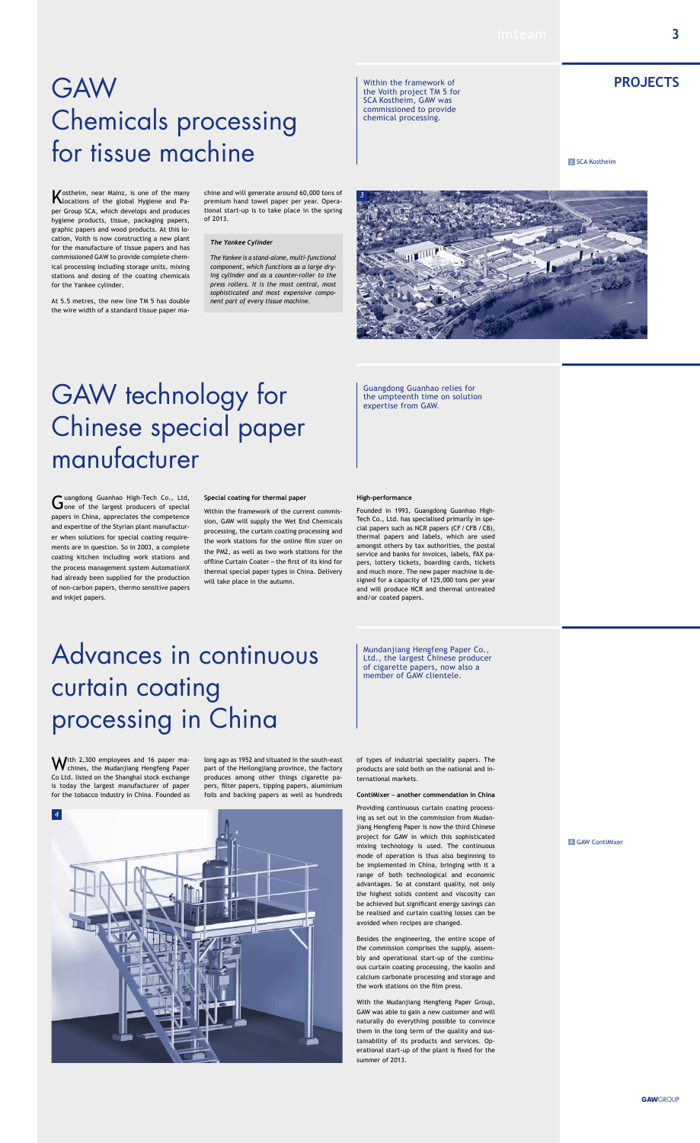## GAW **project TM 5 for**<br>SCA Kostheim, GAW was<br>SCA Kostheim, GAW was Chemicals processing for tissue machine

Within the framework of the Voith project TM 5 for SCA Kostheim, GAW was commissioned to provide chemical processing.

Kostheim, near Mainz, is one of the many locations of the global Hygiene and Paper Group SCA, which develops and produces hygiene products, tissue, packaging papers, graphic papers and wood products. At this location, Voith is now constructing a new plant for the manufacture of tissue papers and has commissioned GAW to provide complete chemical processing including storage units, mixing stations and dosing of the coating chemicals for the Yankee cylinder.

With 2,300 employees and 16 paper ma-<br>Weblines, the Mudanjiang Hengfeng Paper Co Ltd. listed on the Shanghai stock exchange is today the largest manufacturer of paper for the tobacco industry in China. Founded as

At 5.5 metres, the new line TM 5 has double the wire width of a standard tissue paper ma-

Ltd., the largest Chinese producer of cigarette papers, now also a member of GAW clientele.

### Advances in continuous curtain coating processing in China

long ago as 1952 and situated in the south-east part of the Heilongjiang province, the factory produces among other things cigarette papers, filter papers, tipping papers, aluminium foils and backing papers as well as hundreds

## GAW technology for suangdong Guanhao Chinese special paper manufacturer

of types of industrial speciality papers. The products are sold both on the national and international markets.

#### **ContiMixer** – **another commendation in China**

Guangdong Guanhao High-Tech Co., Ltd,<br>
Gone of the largest producers of special papers in China, appreciates the competence and expertise of the Styrian plant manufacturer when solutions for special coating requirements are in question. So in 2003, a complete coating kitchen including work stations and the process management system AutomationX had already been supplied for the production of non-carbon papers, thermo sensitive papers and inkjet papers.

> Providing continuous curtain coating processing as set out in the commission from Mudanjiang Hengfeng Paper is now the third Chinese project for GAW in which this sophisticated mixing technology is used. The continuous mode of operation is thus also beginning to be implemented in China, bringing with it a range of both technological and economic advantages. So at constant quality, not only the highest solids content and viscosity can be achieved but significant energy savings can be realised and curtain coating losses can be avoided when recipes are changed.

> Besides the engineering, the entire scope of the commission comprises the supply, assembly and operational start-up of the continuous curtain coating processing, the kaolin and calcium carbonate processing and storage and the work stations on the film press.

> With the Mudanjiang Hengfeng Paper Group, GAW was able to gain a new customer and will naturally do everything possible to convince them in the long term of the quality and sustainability of its products and services. Operational start-up of the plant is fixed for the summer of 2013.

#### **4 GAW ContiMixer**

Guangdong Guanhao relies for

**3** SCA Kostheim

#### **Special coating for thermal paper**

Within the framework of the current commission, GAW will supply the Wet End Chemicals processing, the curtain coating processing and the work stations for the online film sizer on the PM2, as well as two work stations for the offline Curtain Coater – the first of its kind for thermal special paper types in China. Delivery will take place in the autumn.

### **High-performance**

Founded in 1993, Guangdong Guanhao High-Tech Co., Ltd. has specialised primarily in spe-

cial papers such as NCR papers (CF/CFB  /CB), thermal papers and labels, which are used amongst others by tax authorities, the postal service and banks for invoices, labels, FAX papers, lottery tickets, boarding cards, tickets and much more. The new paper machine is designed for a capacity of 125,000 tons per year and will produce NCR and thermal untreated and/or coated papers.

#### *The Yankee Cylinder*

*The Yankee is a stand-alone, multi-functional component, which functions as a large drying cylinder and as a counter-roller to the press rollers. It is the most central, most sophisticated and most expensive component part of every tissue machine.* 

chine and will generate around 60,000 tons of premium hand towel paper per year. Operational start-up is to take place in the spring of 2013.



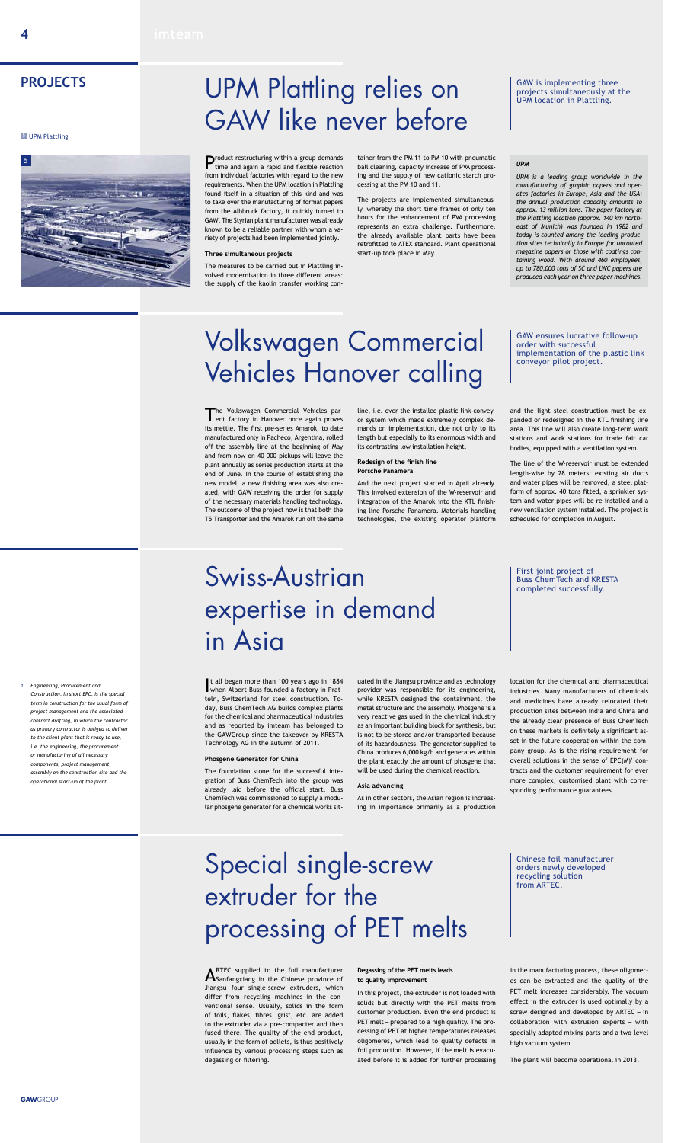Product restructuring within a group demands time and again a rapid and flexible reaction from individual factories with regard to the new requirements. When the UPM location in Plattling found itself in a situation of this kind and was to take over the manufacturing of format papers from the Albbruck factory, it quickly turned to GAW. The Styrian plant manufacturer was already known to be a reliable partner with whom a variety of projects had been implemented jointly.

#### **Three simultaneous projects**

The measures to be carried out in Plattling involved modernisation in three different areas: the supply of the kaolin transfer working con-

### UPM Plattling relies on SAW is implementing three UPM Plattling. GAW like never before

tainer from the PM 11 to PM 10 with pneumatic ball cleaning, capacity increase of PVA processing and the supply of new cationic starch processing at the PM 10 and 11.

The projects are implemented simultaneously, whereby the short time frames of only ten hours for the enhancement of PVA processing represents an extra challenge. Furthermore, the already available plant parts have been retrofitted to ATEX standard. Plant operational start-up took place in May.

GAW is implementing three<br>projects simultaneously at the

The Volkswagen Commercial Vehicles par-<br>
ent factory in Hanover once again proves its mettle. The first pre-series Amarok, to date manufactured only in Pacheco, Argentina, rolled off the assembly line at the beginning of May and from now on 40 000 pickups will leave the plant annually as series production starts at the end of June. In the course of establishing the new model, a new finishing area was also created, with GAW receiving the order for supply of the necessary materials handling technology. The outcome of the project now is that both the T5 Transporter and the Amarok run off the same

### **PROJECTS**

#### **5** UPM Plattling

GAW ensures lucrative follow-up order with successful implementation of the plastic link conveyor pilot project.

**ARTEC** supplied to the foil manufacturer<br>**AS**anfangxiang in the Chinese province of Jiangsu four single-screw extruders, which differ from recycling machines in the conventional sense. Usually, solids in the form of foils, flakes, fibres, grist, etc. are added to the extruder via a pre-compacter and then fused there. The quality of the end product, usually in the form of pellets, is thus positively influence by various processing steps such as degassing or filtering.

line, i.e. over the installed plastic link conveyor system which made extremely complex demands on implementation, due not only to its length but especially to its enormous width and its contrasting low installation height.

#### **Redesign of the finish line Porsche Panamera**

And the next project started in April already. This involved extension of the W-reservoir and integration of the Amarok into the KTL finishing line Porsche Panamera. Materials handling technologies, the existing operator platform

and the light steel construction must be expanded or redesigned in the KTL finishing line area. This line will also create long-term work stations and work stations for trade fair car bodies, equipped with a ventilation system.

The line of the W-reservoir must be extended length-wise by 28 meters: existing air ducts and water pipes will be removed, a steel platform of approx. 40 tons fitted, a sprinkler system and water pipes will be re-installed and a new ventilation system installed. The project is scheduled for completion in August.

### Volkswagen Commercial Vehicles Hanover calling

#### **Degassing of the PET melts leads to quality improvement**

In this project, the extruder is not loaded with solids but directly with the PET melts from customer production. Even the end product is PET melt – prepared to a high quality. The processing of PET at higher temperatures releases oligomeres, which lead to quality defects in foil production. However, if the melt is evacuated before it is added for further processing in the manufacturing process, these oligomeres can be extracted and the quality of the PET melt increases considerably. The vacuum effect in the extruder is used optimally by a screw designed and developed by ARTEC – in collaboration with extrusion experts – with specially adapted mixing parts and a two-level high vacuum system.

The plant will become operational in 2013.

## Special single-screw extruder for the processing of PET melts

Chinese foil manufacturer orders newly developed recycling solution from ARTEC.

#### *UPM*

*UPM is a leading group worldwide in the manufacturing of graphic papers and operates factories in Europe, Asia and the USA; the annual production capacity amounts to approx. 13 million tons. The paper factory at the Plattling location (approx. 140 km northeast of Munich) was founded in 1982 and today is counted among the leading production sites technically in Europe for uncoated magazine papers or those with coatings containing wood. With around 460 employees, up to 780,000 tons of SC and LWC papers are produced each year on three paper machines.*

I when Albert Buss founded a factory in Pratt all began more than 100 years ago in 1884 teln, Switzerland for steel construction. Today, Buss ChemTech AG builds complex plants for the chemical and pharmaceutical industries and as reported by imteam has belonged to the GAWGroup since the takeover by KRESTA Technology AG in the autumn of 2011.

#### **Phosgene Generator for China**

The foundation stone for the successful integration of Buss ChemTech into the group was already laid before the official start. Buss ChemTech was commissioned to supply a modular phosgene generator for a chemical works situated in the Jiangsu province and as technology provider was responsible for its engineering, while KRESTA designed the containment, the metal structure and the assembly. Phosgene is a very reactive gas used in the chemical industry as an important building block for synthesis, but is not to be stored and/or transported because of its hazardousness. The generator supplied to China produces 6,000 kg/h and generates within the plant exactly the amount of phosgene that will be used during the chemical reaction.

#### **Asia advancing**

As in other sectors, the Asian region is increasing in importance primarily as a production location for the chemical and pharmaceutical industries. Many manufacturers of chemicals and medicines have already relocated their production sites between India and China and the already clear presence of Buss ChemTech on these markets is definitely a significant asset in the future cooperation within the company group. As is the rising requirement for overall solutions in the sense of  $EPC(M)^1$  contracts and the customer requirement for ever more complex, customised plant with corresponding performance guarantees.

*1 Engineering, Procurement and Construction, in short EPC, is the special term in construction for the usual form of project management and the associated contract drafting, in which the contractor as primary contractor is obliged to deliver to the client plant that is ready to use, i.e. the engineering, the procurement or manufacturing of all necessary components, project management, assembly on the construction site and the operational start-up of the plant.*

### Swiss-Austrian expertise in demand in Asia

First joint project of Buss ChemTech and KRESTA completed successfully.

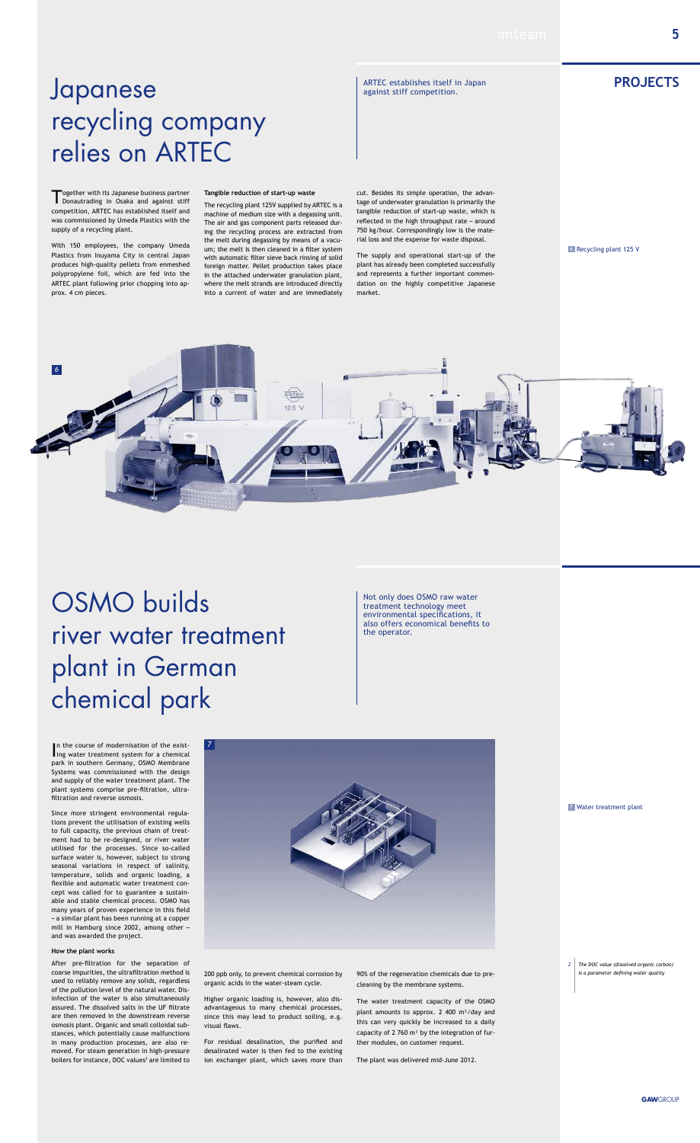## **progress and the Contract of ARTEC establishes itself in Japan PROJECTS** recycling company relies on ARTEC

### OSMO builds river water treatment

## plant in German chemical park

Together with its Japanese business partner<br>
Donautrading in Osaka and against stiff competition, ARTEC has established itself and was commissioned by Umeda Plastics with the supply of a recycling plant.

With 150 employees, the company Umeda Plastics from Inuyama City in central Japan produces high-quality pellets from enmeshed polypropylene foil, which are fed into the ARTEC plant following prior chopping into approx. 4 cm pieces.

#### **Tangible reduction of start-up waste**

The recycling plant 125V supplied by ARTEC is a machine of medium size with a degassing unit. The air and gas component parts released during the recycling process are extracted from the melt during degassing by means of a vacuum; the melt is then cleaned in a filter system with automatic filter sieve back rinsing of solid foreign matter. Pellet production takes place in the attached underwater granulation plant, where the melt strands are introduced directly into a current of water and are immediately

In the course of modernisation of the existing water treatment system for a chemical Ing water treatment system for a chemical park in southern Germany, OSMO Membrane Systems was commissioned with the design and supply of the water treatment plant. The plant systems comprise pre-filtration, ultrafiltration and reverse osmosis.

cut. Besides its simple operation, the advantage of underwater granulation is primarily the tangible reduction of start-up waste, which is reflected in the high throughput rate – around 750 kg/hour. Correspondingly low is the material loss and the expense for waste disposal.

After pre-filtration for the separation of coarse impurities, the ultrafiltration method is used to reliably remove any solids, regardless of the pollution level of the natural water. Disinfection of the water is also simultaneously assured. The dissolved salts in the UF filtrate are then removed in the downstream reverse osmosis plant. Organic and small colloidal substances, which potentially cause malfunctions in many production processes, are also removed. For steam generation in high-pressure boilers for instance, DOC values<sup>2</sup> are limited to The supply and operational start-up of the plant has already been completed successfully and represents a further important commendation on the highly competitive Japanese market.

Since more stringent environmental regulations prevent the utilisation of existing wells to full capacity, the previous chain of treatment had to be re-designed, or river water utilised for the processes. Since so-called surface water is, however, subject to strong seasonal variations in respect of salinity, temperature, solids and organic loading, a flexible and automatic water treatment concept was called for to guarantee a sustainable and stable chemical process. OSMO has many years of proven experience in this field – a similar plant has been running at a copper mill in Hamburg since 2002, among other – and was awarded the project.

#### **How the plant works**

200 ppb only, to prevent chemical corrosion by organic acids in the water-steam cycle.

Higher organic loading is, however, also disadvantageous to many chemical processes, since this may lead to product soiling, e.g. visual flaws.

For residual desalination, the purified and desalinated water is then fed to the existing ion exchanger plant, which saves more than

90% of the regeneration chemicals due to precleaning by the membrane systems.

The water treatment capacity of the OSMO plant amounts to approx. 2 400  $m^3$ /day and this can very quickly be increased to a daily capacity of 2 760  $m<sup>3</sup>$  by the integration of further modules, on customer request.

The plant was delivered mid-June 2012.





6 Recycling plant 125 V

#### 7 Water treatment plant

ARTEC establishes itself in Japan

against stiff competition.

Not only does OSMO raw water treatment technology meet environmental specifications, it also offers economical benefits to the operator.

> *2 The DOC value (dissolved organic carbon) is a parameter defining water quality*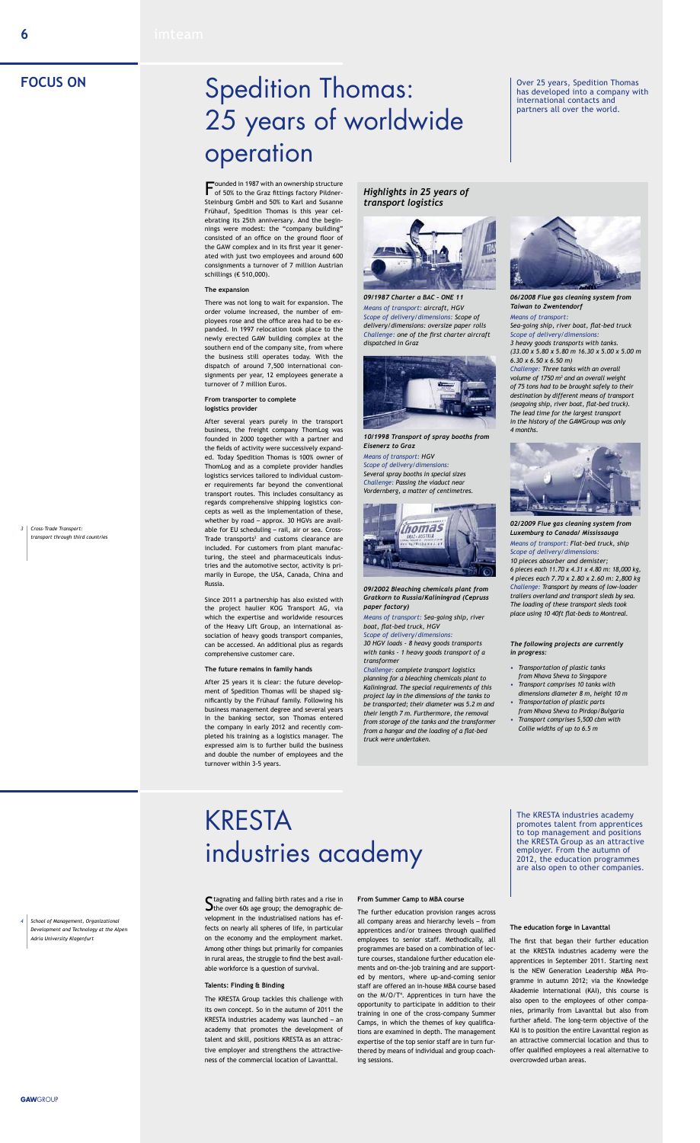*Highlights in 25 years of transport logistics* 



*09/1987 Charter a BAC – ONE 11 Means of transport: aircraft, HGV Scope of delivery/dimensions: Scope of delivery/dimensions: oversize paper rolls Challenge: one of the first charter aircraft dispatched in Graz*



*10/1998 Transport of spray booths from Eisenerz to Graz Means of transport: HGV Scope of delivery/dimensions: Several spray booths in special sizes Challenge: Passing the viaduct near Vordernberg, a matter of centimetres.*



*09/2002 Bleaching chemicals plant from Gratkorn to Russia/Kaliningrad (Cepruss paper factory)*

*Means of transport: Sea-going ship, river boat, flat-bed truck, HGV Scope of delivery/dimensions:*

*30 HGV loads - 8 heavy goods transports with tanks - 1 heavy goods transport of a* 



*transformer*

*Challenge: complete transport logistics planning for a bleaching chemicals plant to Kaliningrad. The special requirements of this project lay in the dimensions of the tanks to be transported; their diameter was 5.2 m and their length 7 m. Furthermore, the removal from storage of the tanks and the transformer from a hangar and the loading of a flat-bed truck were undertaken.*

*06/2008 Flue gas cleaning system from Taiwan to Zwentendorf*

#### *Means of transport:*

*Sea-going ship, river boat, flat-bed truck Scope of delivery/dimensions: 3 heavy goods transports with tanks.*

*(33.00 x 5.80 x 5.80 m 16.30 x 5.00 x 5.00 m 6.30 x 6.50 x 6.50 m)*

Founded in 1987 with an ownership structure<br>of 50% to the Graz fittings factory Pildner-Steinburg GmbH and 50% to Karl and Susanne Frühauf, Spedition Thomas is this year celebrating its 25th anniversary. And the beginnings were modest: the "company building" consisted of an office on the ground floor of the GAW complex and in its first year it generated with just two employees and around 600 consignments a turnover of 7 million Austrian schillings (€ 510,000).

> *Challenge: Three tanks with an overall volume of 1750 m3 and an overall weight of 75 tons had to be brought safely to their destination by different means of transport (seagoing ship, river boat, flat-bed truck). The lead time for the largest transport in the history of the GAWGroup was only 4 months.*



*02/2009 Flue gas cleaning system from Luxemburg to Canada/ Mississauga*

*Means of transport: Flat-bed truck, ship Scope of delivery/dimensions:*

*10 pieces absorber and demister; 6 pieces each 11.70 x 4.31 x 4.80 m: 18,000 kg, 4 pieces each 7.70 x 2.80 x 2.60 m: 2,800 kg Challenge: Transport by means of low-loader trailers overland and transport sleds by sea. The loading of these transport sleds took place using 10 40ft flat-beds to Montreal.* 

*The following projects are currently* 

*in progress:*

- *• Transportation of plastic tanks from Nhava Sheva to Singapore*
- *• Transport comprises 10 tanks with dimensions diameter 8 m, height 10 m*
- *• Transportation of plastic parts from Nhava Sheva to Pirdop/Bulgaria*
- *• Transport comprises 5,500 cbm with Collie widths of up to 6.5 m*

# Spedition Thomas: 25 years of worldwide operation

 $S$  tagnating and falling birth rates and a rise in  $S$  the over 60s age group; the demographic development in the industrialised nations has effects on nearly all spheres of life, in particular on the economy and the employment market. Among other things but primarily for companies in rural areas, the struggle to find the best available workforce is a question of survival.

#### **The expansion**

There was not long to wait for expansion. The order volume increased, the number of employees rose and the office area had to be expanded. In 1997 relocation took place to the newly erected GAW building complex at the southern end of the company site, from where the business still operates today. With the dispatch of around 7,500 international consignments per year, 12 employees generate a turnover of 7 million Euros.

#### **From transporter to complete logistics provider**

After several years purely in the transport business, the freight company ThomLog was founded in 2000 together with a partner and the fields of activity were successively expanded. Today Spedition Thomas is 100% owner of ThomLog and as a complete provider handles logistics services tailored to individual customer requirements far beyond the conventional transport routes. This includes consultancy as regards comprehensive shipping logistics concepts as well as the implementation of these, whether by road – approx. 30 HGVs are available for EU scheduling – rail, air or sea. Cross-Trade transports<sup>3</sup> and customs clearance are included. For customers from plant manufacturing, the steel and pharmaceuticals industries and the automotive sector, activity is primarily in Europe, the USA, Canada, China and Russia.

Since 2011 a partnership has also existed with the project haulier KOG Transport AG, via which the expertise and worldwide resources of the Heavy Lift Group, an international association of heavy goods transport companies, can be accessed. An additional plus as regards

comprehensive customer care.

#### **The future remains in family hands**

After 25 years it is clear: the future development of Spedition Thomas will be shaped significantly by the Frühauf family. Following his business management degree and several years in the banking sector, son Thomas entered the company in early 2012 and recently completed his training as a logistics manager. The expressed aim is to further build the business and double the number of employees and the turnover within 3-5 years.

Over 25 years, Spedition Thomas has developed into a company with international contacts and partners all over the world.

*transport through third countries*

### **FOCUS ON**

#### **Talents: Finding & Binding**

The KRESTA Group tackles this challenge with its own concept. So in the autumn of 2011 the KRESTA industries academy was launched – an academy that promotes the development of talent and skill, positions KRESTA as an attractive employer and strengthens the attractiveness of the commercial location of Lavanttal.

#### **From Summer Camp to MBA course**

The further education provision ranges across all company areas and hierarchy levels – from apprentices and/or trainees through qualified employees to senior staff. Methodically, all programmes are based on a combination of lecture courses, standalone further education elements and on-the-job training and are supported by mentors, where up-and-coming senior staff are offered an in-house MBA course based on the M/O/T<sup>4</sup> . Apprentices in turn have the opportunity to participate in addition to their training in one of the cross-company Summer Camps, in which the themes of key qualifications are examined in depth. The management expertise of the top senior staff are in turn furthered by means of individual and group coaching sessions.

#### **The education forge in Lavanttal**

The first that began their further education at the KRESTA industries academy were the apprentices in September 2011. Starting next is the NEW Generation Leadership MBA Programme in autumn 2012; via the Knowledge Akademie International (KAI), this course is also open to the employees of other companies, primarily from Lavanttal but also from further afield. The long-term objective of the KAI is to position the entire Lavanttal region as an attractive commercial location and thus to offer qualified employees a real alternative to overcrowded urban areas.

*4 School of Management, Organizational Development and Technology at the Alpen Adria University Klagenfurt*

The KRESTA industries academy promotes talent from apprentices to top management and positions the KRESTA Group as an attractive employer. From the autumn of 2012, the education programmes are also open to other companies.

### KRESTA industries academy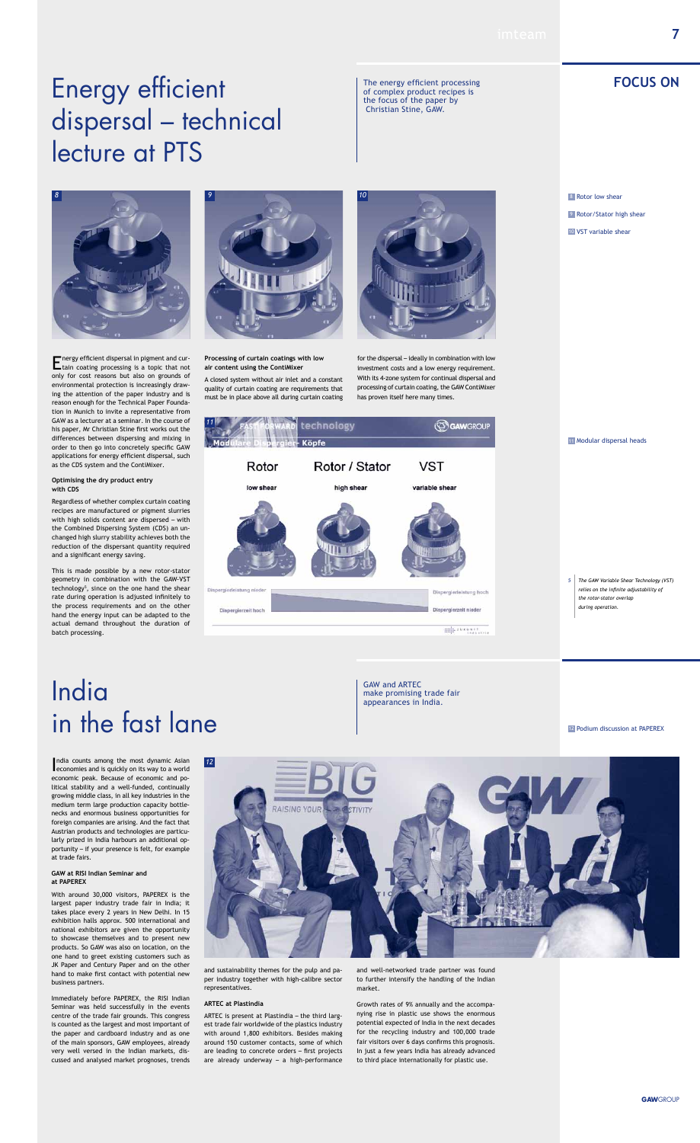### **FOCUS ON**

India counts among the most dynamic Asian<br>economies and is quickly on its way to a world ndia counts among the most dynamic Asian economic peak. Because of economic and political stability and a well-funded, continually growing middle class, in all key industries in the medium term large production capacity bottlenecks and enormous business opportunities for foreign companies are arising. And the fact that Austrian products and technologies are particularly prized in India harbours an additional opportunity – if your presence is felt, for example at trade fairs.

#### **GAW at RISI Indian Seminar and at PAPEREX**

With around 30,000 visitors, PAPEREX is the largest paper industry trade fair in India; it takes place every 2 years in New Delhi. In 15 exhibition halls approx. 500 international and national exhibitors are given the opportunity to showcase themselves and to present new products. So GAW was also on location, on the one hand to greet existing customers such as JK Paper and Century Paper and on the other hand to make first contact with potential new business partners.

Immediately before PAPEREX, the RISI Indian Seminar was held successfully in the events centre of the trade fair grounds. This congress is counted as the largest and most important of the paper and cardboard industry and as one of the main sponsors, GAW employees, already very well versed in the Indian markets, discussed and analysed market prognoses, trends

and sustainability themes for the pulp and paper industry together with high-calibre sector representatives.

#### **ARTEC at Plastindia**

ARTEC is present at Plastindia – the third largest trade fair worldwide of the plastics industry with around 1,800 exhibitors. Besides making around 150 customer contacts, some of which are leading to concrete orders – first projects are already underway – a high-performance

and well-networked trade partner was found to further intensify the handling of the Indian market.

Growth rates of 9% annually and the accompanying rise in plastic use shows the enormous potential expected of India in the next decades for the recycling industry and 100,000 trade fair visitors over 6 days confirms this prognosis. In just a few years India has already advanced to third place internationally for plastic use.

8 Rotor low shear 9 Rotor/Stator high shear 10 VST variable shear

## India in the fast lane

GAW and ARTEC make promising trade fair appearances in India.

**HILL** JUKUNIT

#### 12 Podium discussion at PAPEREX



*8*

Energy efficient dispersal in pigment and cur-tain coating processing is a topic that not only for cost reasons but also on grounds of environmental protection is increasingly drawing the attention of the paper industry and is reason enough for the Technical Paper Foundation in Munich to invite a representative from GAW as a lecturer at a seminar. In the course of his paper, Mr Christian Stine first works out the differences between dispersing and mixing in order to then go into concretely specific GAW applications for energy efficient dispersal, such as the CDS system and the ContiMixer.

#### **Optimising the dry product entry with CDS**

Regardless of whether complex curtain coating recipes are manufactured or pigment slurries with high solids content are dispersed – with the Combined Dispersing System (CDS) an unchanged high slurry stability achieves both the reduction of the dispersant quantity required and a significant energy saving.

This is made possible by a new rotor-stator geometry in combination with the GAW-VST technology<sup>5</sup>, since on the one hand the shear rate during operation is adjusted infinitely to the process requirements and on the other hand the energy input can be adapted to the actual demand throughout the duration of batch processing.



A closed system without air inlet and a constant quality of curtain coating are requirements that must be in place above all during curtain coating

for the dispersal – ideally in combination with low investment costs and a low energy requirement. With its 4-zone system for continual dispersal and processing of curtain coating, the GAW ContiMixer has proven itself here many times.



## Energy efficient dispersal – technical lecture at PTS

The energy efficient processing of complex product recipes is the focus of the paper by Christian Stine, GAW.

11 Modular dispersal heads

*9*

*11*

*10*



*5 The GAW Variable Shear Technology (VST) relies on the infinite adjustability of the rotor-stator overlap during operation.*